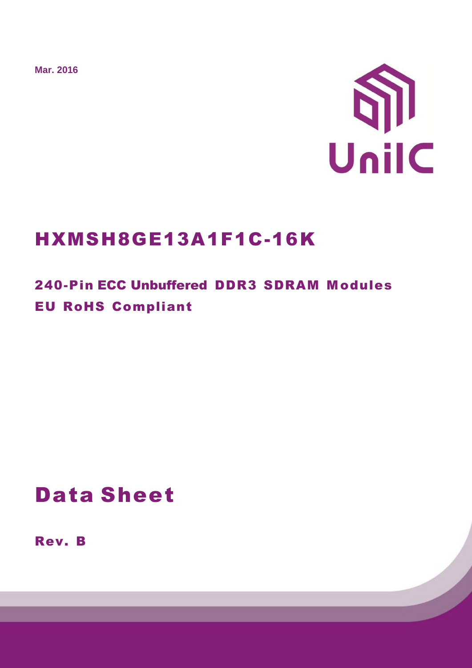**Mar. 2016**



# HXMSH8GE13A1F1C-16K

## 240-Pin ECC Unbuffered DDR3 SDRAM Modules EU RoHS Compliant

# Data Sheet

Rev. B

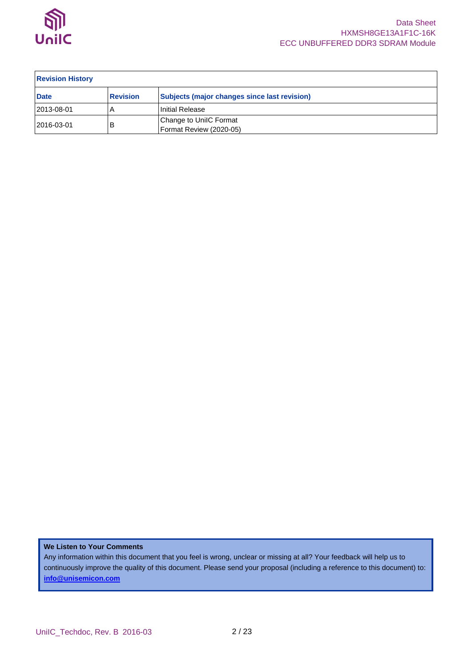

| <b>Revision History</b> |                 |                                                     |  |  |  |  |  |
|-------------------------|-----------------|-----------------------------------------------------|--|--|--|--|--|
| <b>Date</b>             | <b>Revision</b> | <b>Subjects (major changes since last revision)</b> |  |  |  |  |  |
| 2013-08-01              |                 | Initial Release                                     |  |  |  |  |  |
| 2016-03-01              | В               | Change to UniIC Format<br>Format Review (2020-05)   |  |  |  |  |  |

### **We Listen to Your Comments**

Any information within this document that you feel is wrong, unclear or missing at all? Your feedback will help us to continuously improve the quality of this document. Please send your proposal (including a reference to this document) to: **[info@unisemicon.com](mailto:info@unisemicon.com)**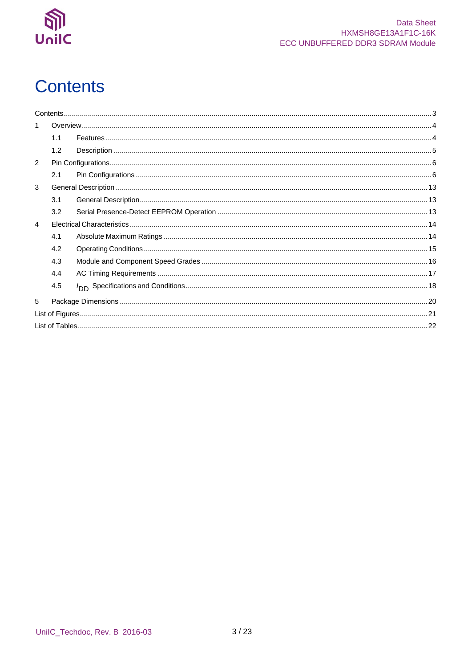

# <span id="page-2-0"></span>**Contents**

| 1              |     |  |
|----------------|-----|--|
|                | 1.1 |  |
|                | 1.2 |  |
| 2              |     |  |
|                | 2.1 |  |
| 3              |     |  |
|                | 3.1 |  |
|                | 3.2 |  |
| $\overline{4}$ |     |  |
|                | 4.1 |  |
|                | 4.2 |  |
|                | 4.3 |  |
|                | 4.4 |  |
|                | 4.5 |  |
| 5              |     |  |
|                |     |  |
|                |     |  |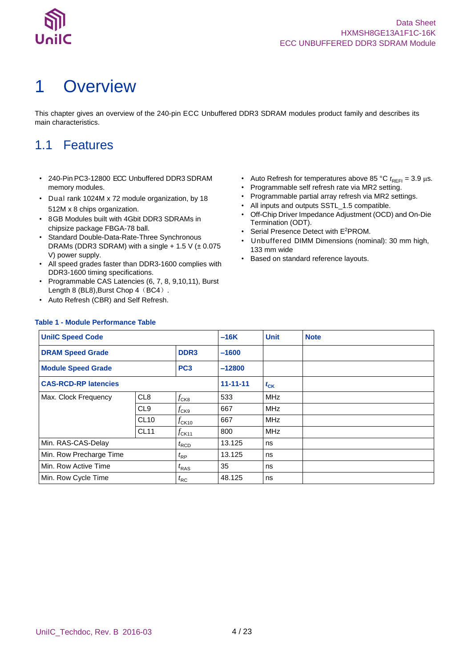

## <span id="page-3-0"></span>1 Overview

This chapter gives an overview of the 240-pin ECC Unbuffered DDR3 SDRAM modules product family and describes its main characteristics.

### <span id="page-3-1"></span>1.1 Features

- 240-Pin PC3-12800 ECC Unbuffered DDR3 SDRAM memory modules.
- Dual rank 1024M x 72 module organization, by 18 512M x 8 chips organization.
- 8GB Modules built with 4Gbit DDR3 SDRAMs in chipsize package FBGA-78 ball.
- Standard Double-Data-Rate-Three Synchronous DRAMs (DDR3 SDRAM) with a single  $+$  1.5 V ( $\pm$  0.075 V) power supply.
- All speed grades faster than DDR3-1600 complies with DDR3-1600 timing specifications.
- Programmable CAS Latencies (6, 7, 8, 9,10,11), Burst Length 8 (BL8), Burst Chop 4 (BC4).
- Auto Refresh (CBR) and Self Refresh.
- Auto Refresh for temperatures above 85 °C  $t_{REFI}$  = 3.9 μs.
- Programmable self refresh rate via MR2 setting.
- Programmable partial array refresh via MR2 settings.
- All inputs and outputs SSTL\_1.5 compatible.
- Off-Chip Driver Impedance Adjustment (OCD) and On-Die Termination (ODT).
- Serial Presence Detect with E<sup>2</sup>PROM.
- Unbuffered DIMM Dimensions (nominal): 30 mm high, 133 mm wide
- Based on standard reference layouts.

| <b>UnilC Speed Code</b>                      |                 |                  | $-16K$         | <b>Unit</b> | <b>Note</b> |
|----------------------------------------------|-----------------|------------------|----------------|-------------|-------------|
| <b>DRAM Speed Grade</b><br>DDR <sub>3</sub>  |                 |                  | $-1600$        |             |             |
| <b>Module Speed Grade</b><br>PC <sub>3</sub> |                 |                  | $-12800$       |             |             |
| <b>CAS-RCD-RP latencies</b>                  |                 |                  | $11 - 11 - 11$ | $t_{CK}$    |             |
| Max. Clock Frequency                         | CL <sub>8</sub> | $f_{\rm CK8}$    | 533            | <b>MHz</b>  |             |
|                                              | CL <sub>9</sub> | $f_{\rm CK9}$    | 667            | <b>MHz</b>  |             |
|                                              | CL10            | $J$ CK10         | 667            | <b>MHz</b>  |             |
|                                              | <b>CL11</b>     | $J$ CK11         | 800            | <b>MHz</b>  |             |
| Min. RAS-CAS-Delay                           |                 | $t_{\text{RCD}}$ | 13.125         | ns          |             |
| Min. Row Precharge Time<br>$t_{\sf RP}$      |                 | 13.125           | ns             |             |             |
| Min. Row Active Time<br>$t_{\text{RAS}}$     |                 | 35               | ns             |             |             |
| Min. Row Cycle Time                          |                 | $t_{\sf RC}$     | 48.125         | ns          |             |

### <span id="page-3-2"></span>**Table 1 - Module Performance Table**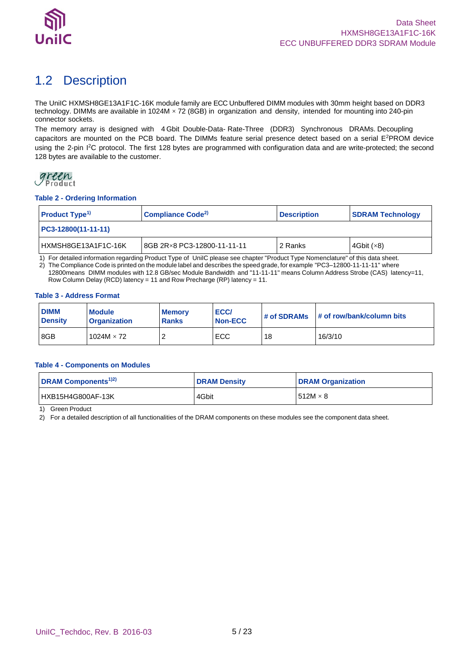

## <span id="page-4-0"></span>1.2 Description

The UniIC HXMSH8GE13A1F1C-16K module family are ECC Unbuffered DIMM modules with 30mm height based on DDR3 technology. DIMMs are available in 1024M ×72 (8GB) in organization and density, intended for mounting into 240-pin connector sockets.

The memory array is designed with 4 Gbit Double-Data- Rate-Three (DDR3) Synchronous DRAMs. Decoupling capacitors are mounted on the PCB board. The DIMMs feature serial presence detect based on a serial E<sup>2</sup>PROM device using the 2-pin I<sup>2</sup>C protocol. The first 128 bytes are programmed with configuration data and are write-protected; the second 128 bytes are available to the customer.

## green<br>Product

### <span id="page-4-1"></span>**Table 2 - Ordering Information**

| <b>Product Type</b> <sup>1)</sup> | Compliance Code <sup>2)</sup>  | <b>Description</b> | <b>SDRAM Technology</b> |
|-----------------------------------|--------------------------------|--------------------|-------------------------|
| $PC3-12800(11-11-11)$             |                                |                    |                         |
| HXMSH8GE13A1F1C-16K               | I8GB 2R × 8 PC3-12800-11-11-11 | 2 Ranks            | 4Gbit $(\times 8)$      |

1) For detailed information regarding Product Type of UniIC please see chapter "Product Type Nomenclature" of this data sheet. 2) The Compliance Code is printed on the module label and describes the speed grade, for example "PC3–12800-11-11-11" where

12800means DIMM modules with 12.8 GB/sec Module Bandwidth and "11-11-11" means Column Address Strobe (CAS) latency=11, Row Column Delay (RCD) latency = 11 and Row Precharge (RP) latency = 11.

### <span id="page-4-2"></span>**Table 3 - Address Format**

| <b>DIMM</b><br><b>Density</b> | <b>Module</b><br><b>Organization</b> | <b>Memory</b><br><b>Ranks</b> | ECC/<br>Non-ECC | # of SDRAMs | # of row/bank/column bits |
|-------------------------------|--------------------------------------|-------------------------------|-----------------|-------------|---------------------------|
| 8GB                           | 1024M $\times$ 72                    |                               | ECC             | 18          | 16/3/10                   |

#### <span id="page-4-3"></span>**Table 4 - Components on Modules**

| <b>DRAM Components</b> <sup><math>1)2)</math></sup> | <b>DRAM Density</b> | <b>DRAM Organization</b> |
|-----------------------------------------------------|---------------------|--------------------------|
| HXB15H4G800AF-13K                                   | 4Gbit               | $1512M \times 8$         |

1) Green Product

2) For a detailed description of all functionalities of the DRAM components on these modules see the component data sheet.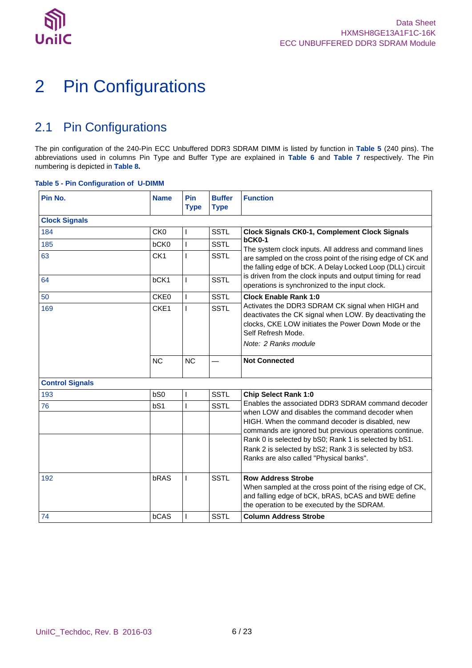

# <span id="page-5-0"></span>2 Pin Configurations

### <span id="page-5-1"></span>2.1 Pin Configurations

The pin configuration of the 240-Pin ECC Unbuffered DDR3 SDRAM DIMM is listed by function in **[Table 5](#page-5-2)** (240 pins). The abbreviations used in columns Pin Type and Buffer Type are explained in **[Table 6](#page-10-0)** and **[Table 7](#page-10-1)** respectively. The Pin numbering is depicted in **[Table 8.](#page-11-0)**

### <span id="page-5-2"></span>**Table 5 - Pin Configuration of U-DIMM**

| Pin No.                | <b>Name</b>          | Pin<br><b>Type</b> | <b>Buffer</b><br><b>Type</b> | <b>Function</b>                                                                                                                                                                                                                                                                                                                                                               |
|------------------------|----------------------|--------------------|------------------------------|-------------------------------------------------------------------------------------------------------------------------------------------------------------------------------------------------------------------------------------------------------------------------------------------------------------------------------------------------------------------------------|
| <b>Clock Signals</b>   |                      |                    |                              |                                                                                                                                                                                                                                                                                                                                                                               |
| 184                    | CK <sub>0</sub>      | T                  | <b>SSTL</b>                  | <b>Clock Signals CK0-1, Complement Clock Signals</b>                                                                                                                                                                                                                                                                                                                          |
| 185                    | bCK0                 | T                  | <b>SSTL</b>                  | $bCK0-1$<br>The system clock inputs. All address and command lines                                                                                                                                                                                                                                                                                                            |
| 63                     | CK <sub>1</sub>      | $\mathbf{I}$       | <b>SSTL</b>                  | are sampled on the cross point of the rising edge of CK and<br>the falling edge of bCK. A Delay Locked Loop (DLL) circuit                                                                                                                                                                                                                                                     |
| 64                     | bCK1                 | L                  | <b>SSTL</b>                  | is driven from the clock inputs and output timing for read<br>operations is synchronized to the input clock.                                                                                                                                                                                                                                                                  |
| 50                     | CKE0                 | $\overline{1}$     | <b>SSTL</b>                  | <b>Clock Enable Rank 1:0</b>                                                                                                                                                                                                                                                                                                                                                  |
| 169                    | CKE1                 | T                  | <b>SSTL</b>                  | Activates the DDR3 SDRAM CK signal when HIGH and<br>deactivates the CK signal when LOW. By deactivating the<br>clocks, CKE LOW initiates the Power Down Mode or the<br>Self Refresh Mode.<br>Note: 2 Ranks module                                                                                                                                                             |
| <b>NC</b><br><b>NC</b> | <b>Not Connected</b> |                    |                              |                                                                                                                                                                                                                                                                                                                                                                               |
| <b>Control Signals</b> |                      |                    |                              |                                                                                                                                                                                                                                                                                                                                                                               |
| 193                    | bS <sub>0</sub>      | T                  | <b>SSTL</b>                  | <b>Chip Select Rank 1:0</b>                                                                                                                                                                                                                                                                                                                                                   |
| 76                     | bS1                  | T                  | <b>SSTL</b>                  | Enables the associated DDR3 SDRAM command decoder<br>when LOW and disables the command decoder when<br>HIGH. When the command decoder is disabled, new<br>commands are ignored but previous operations continue.<br>Rank 0 is selected by bS0; Rank 1 is selected by bS1.<br>Rank 2 is selected by bS2; Rank 3 is selected by bS3.<br>Ranks are also called "Physical banks". |
| 192                    | bRAS                 | ı                  | <b>SSTL</b>                  | <b>Row Address Strobe</b><br>When sampled at the cross point of the rising edge of CK,<br>and falling edge of bCK, bRAS, bCAS and bWE define<br>the operation to be executed by the SDRAM.                                                                                                                                                                                    |
| 74                     | bCAS                 | ı                  | <b>SSTL</b>                  | <b>Column Address Strobe</b>                                                                                                                                                                                                                                                                                                                                                  |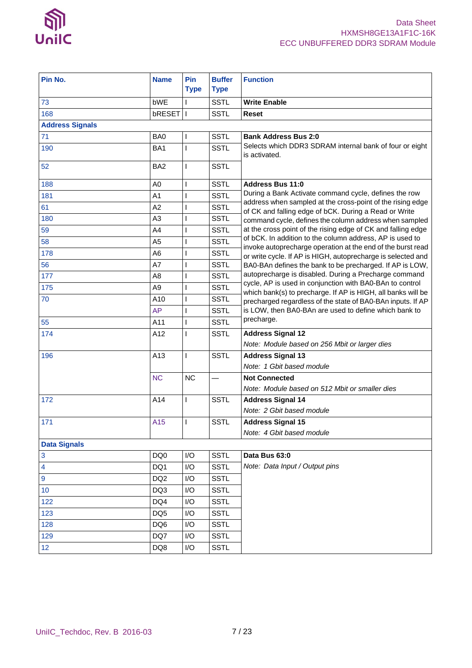

| Pin No.                 | <b>Name</b>     | Pin<br><b>Type</b>      | <b>Buffer</b><br><b>Type</b> | <b>Function</b>                                                                                                             |
|-------------------------|-----------------|-------------------------|------------------------------|-----------------------------------------------------------------------------------------------------------------------------|
| 73                      | bWE             | L                       | <b>SSTL</b>                  | <b>Write Enable</b>                                                                                                         |
| 168                     | bRESET          | $\mathbf{I}$            | <b>SSTL</b>                  | Reset                                                                                                                       |
| <b>Address Signals</b>  |                 |                         |                              |                                                                                                                             |
| 71                      | BA0             | $\mathbf{I}$            | <b>SSTL</b>                  | <b>Bank Address Bus 2:0</b>                                                                                                 |
| 190                     | BA <sub>1</sub> | T                       | <b>SSTL</b>                  | Selects which DDR3 SDRAM internal bank of four or eight<br>is activated.                                                    |
| 52                      | BA <sub>2</sub> | T                       | <b>SSTL</b>                  |                                                                                                                             |
| 188                     | A <sub>0</sub>  | $\mathbf{I}$            | <b>SSTL</b>                  | <b>Address Bus 11:0</b>                                                                                                     |
| 181                     | A <sub>1</sub>  | $\mathbf{I}$            | <b>SSTL</b>                  | During a Bank Activate command cycle, defines the row                                                                       |
| 61                      | A2              | $\mathbf{I}$            | <b>SSTL</b>                  | address when sampled at the cross-point of the rising edge<br>of CK and falling edge of bCK. During a Read or Write         |
| 180                     | A3              | $\mathbf{I}$            | <b>SSTL</b>                  | command cycle, defines the column address when sampled                                                                      |
| 59                      | A4              | L                       | <b>SSTL</b>                  | at the cross point of the rising edge of CK and falling edge                                                                |
| 58                      | A <sub>5</sub>  | $\mathbf{I}$            | <b>SSTL</b>                  | of bCK. In addition to the column address, AP is used to                                                                    |
| 178                     | A6              | T                       | <b>SSTL</b>                  | invoke autoprecharge operation at the end of the burst read<br>or write cycle. If AP is HIGH, autoprecharge is selected and |
| 56                      | A7              | $\mathbf{I}$            | <b>SSTL</b>                  | BA0-BAn defines the bank to be precharged. If AP is LOW,                                                                    |
| 177                     | A <sub>8</sub>  | $\mathbf{I}$            | <b>SSTL</b>                  | autoprecharge is disabled. During a Precharge command                                                                       |
| 175                     | A <sub>9</sub>  | $\mathbf{I}$            | <b>SSTL</b>                  | cycle, AP is used in conjunction with BA0-BAn to control                                                                    |
| 70                      | A10             | T                       | <b>SSTL</b>                  | which bank(s) to precharge. If AP is HIGH, all banks will be<br>precharged regardless of the state of BA0-BAn inputs. If AP |
|                         | <b>AP</b>       | $\mathbf{I}$            | <b>SSTL</b>                  | is LOW, then BA0-BAn are used to define which bank to                                                                       |
| 55                      | A11             | $\mathbf{I}$            | <b>SSTL</b>                  | precharge.                                                                                                                  |
| 174                     | A12             | $\mathbf{I}$            | <b>SSTL</b>                  | <b>Address Signal 12</b>                                                                                                    |
|                         |                 |                         |                              | Note: Module based on 256 Mbit or larger dies                                                                               |
| 196                     | A13             | $\mathsf{I}$            | <b>SSTL</b>                  | <b>Address Signal 13</b>                                                                                                    |
|                         |                 |                         |                              | Note: 1 Gbit based module                                                                                                   |
|                         | <b>NC</b>       | <b>NC</b>               |                              | <b>Not Connected</b>                                                                                                        |
|                         |                 |                         |                              | Note: Module based on 512 Mbit or smaller dies                                                                              |
| 172                     | A14             | $\mathbf{I}$            | <b>SSTL</b>                  | <b>Address Signal 14</b>                                                                                                    |
|                         |                 |                         |                              | Note: 2 Gbit based module                                                                                                   |
| 171                     | A15             | T                       | <b>SSTL</b>                  | <b>Address Signal 15</b>                                                                                                    |
|                         |                 |                         |                              | Note: 4 Gbit based module                                                                                                   |
| <b>Data Signals</b>     |                 |                         |                              |                                                                                                                             |
| $\mathbf{3}$            | DQ0             | I/O                     | <b>SSTL</b>                  | Data Bus 63:0                                                                                                               |
| $\overline{\mathbf{4}}$ | DQ1             | I/O                     | <b>SSTL</b>                  | Note: Data Input / Output pins                                                                                              |
| 9                       | DQ <sub>2</sub> | I/O                     | <b>SSTL</b>                  |                                                                                                                             |
| 10 <sup>1</sup>         | DQ3             | I/O                     | <b>SSTL</b>                  |                                                                                                                             |
| 122                     | DQ4             | I/O                     | <b>SSTL</b>                  |                                                                                                                             |
| 123                     | DQ5             | $\mathsf{I}/\mathsf{O}$ | <b>SSTL</b>                  |                                                                                                                             |
| 128                     | DQ6             | I/O                     | <b>SSTL</b>                  |                                                                                                                             |
| 129                     | DQ7             | $\mathsf{I}/\mathsf{O}$ | <b>SSTL</b>                  |                                                                                                                             |
| 12 <sub>2</sub>         | DQ8             | I/O                     | <b>SSTL</b>                  |                                                                                                                             |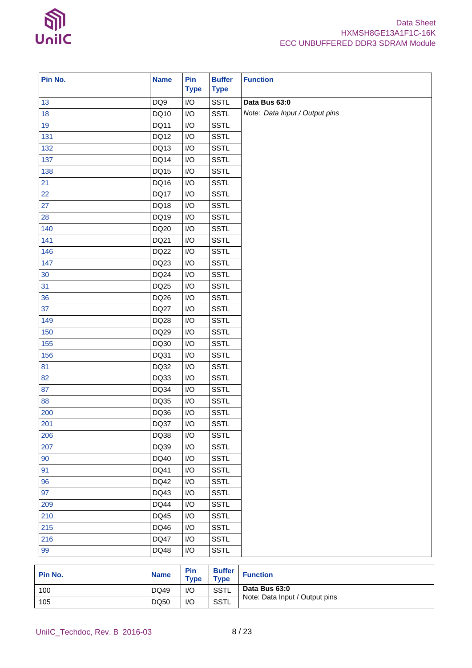

| Pin No. | <b>Name</b> | Pin<br><b>Type</b>      | <b>Buffer</b><br><b>Type</b> | <b>Function</b>                |
|---------|-------------|-------------------------|------------------------------|--------------------------------|
| 13      | DQ9         | $\mathsf{I}/\mathsf{O}$ | <b>SSTL</b>                  | Data Bus 63:0                  |
| 18      | DQ10        | I/O                     | <b>SSTL</b>                  | Note: Data Input / Output pins |
| 19      | DQ11        | I/O                     | <b>SSTL</b>                  |                                |
| 131     | DQ12        | I/O                     | <b>SSTL</b>                  |                                |
| 132     | DQ13        | I/O                     | <b>SSTL</b>                  |                                |
| 137     | DQ14        | I/O                     | <b>SSTL</b>                  |                                |
| 138     | DQ15        | I/O                     | <b>SSTL</b>                  |                                |
| 21      | DQ16        | I/O                     | <b>SSTL</b>                  |                                |
| 22      | DQ17        | I/O                     | <b>SSTL</b>                  |                                |
| 27      | DQ18        | I/O                     | <b>SSTL</b>                  |                                |
| 28      | DQ19        | I/O                     | <b>SSTL</b>                  |                                |
| 140     | DQ20        | I/O                     | <b>SSTL</b>                  |                                |
| 141     | DQ21        | I/O                     | <b>SSTL</b>                  |                                |
| 146     | DQ22        | I/O                     | <b>SSTL</b>                  |                                |
| 147     | DQ23        | I/O                     | <b>SSTL</b>                  |                                |
| 30      | DQ24        | I/O                     | <b>SSTL</b>                  |                                |
| 31      | DQ25        | I/O                     | <b>SSTL</b>                  |                                |
| 36      | DQ26        | I/O                     | <b>SSTL</b>                  |                                |
| 37      | DQ27        | I/O                     | <b>SSTL</b>                  |                                |
| 149     | DQ28        | I/O                     | <b>SSTL</b>                  |                                |
| 150     | DQ29        | I/O                     | <b>SSTL</b>                  |                                |
| 155     | DQ30        | I/O                     | <b>SSTL</b>                  |                                |
| 156     | DQ31        | I/O                     | <b>SSTL</b>                  |                                |
| 81      | DQ32        | I/O                     | <b>SSTL</b>                  |                                |
| 82      | DQ33        | I/O                     | <b>SSTL</b>                  |                                |
| 87      | DQ34        | I/O                     | <b>SSTL</b>                  |                                |
| 88      | DQ35        | I/O                     | <b>SSTL</b>                  |                                |
| 200     | DQ36        | I/O                     | <b>SSTL</b>                  |                                |
| 201     | DQ37        | I/O                     | <b>SSTL</b>                  |                                |
| 206     | DQ38        | I/O                     | <b>SSTL</b>                  |                                |
| 207     | DQ39        | I/O                     | SSTL                         |                                |
| 90      | DQ40        | I/O                     | <b>SSTL</b>                  |                                |
| 91      | DQ41        | I/O                     | <b>SSTL</b>                  |                                |
| 96      | DQ42        | I/O                     | <b>SSTL</b>                  |                                |
| 97      | DQ43        | I/O                     | SSTL                         |                                |
| 209     | DQ44        | I/O                     | <b>SSTL</b>                  |                                |
| 210     | <b>DQ45</b> | I/O                     | <b>SSTL</b>                  |                                |
| 215     | DQ46        | I/O                     | <b>SSTL</b>                  |                                |
| 216     | DQ47        | I/O                     | <b>SSTL</b>                  |                                |
| 99      | DQ48        | I/O                     | <b>SSTL</b>                  |                                |

| Pin No. | <b>Name</b> | Pin<br><b>Type</b>      | <b>Buffer</b><br><b>Type</b> | <b>Function</b>                |
|---------|-------------|-------------------------|------------------------------|--------------------------------|
| 100     | DQ49        | $\mathsf{I}/\mathsf{C}$ | <b>SSTL</b>                  | Data Bus 63:0                  |
| 105     | <b>DQ50</b> | 1/O                     | <b>SSTL</b>                  | Note: Data Input / Output pins |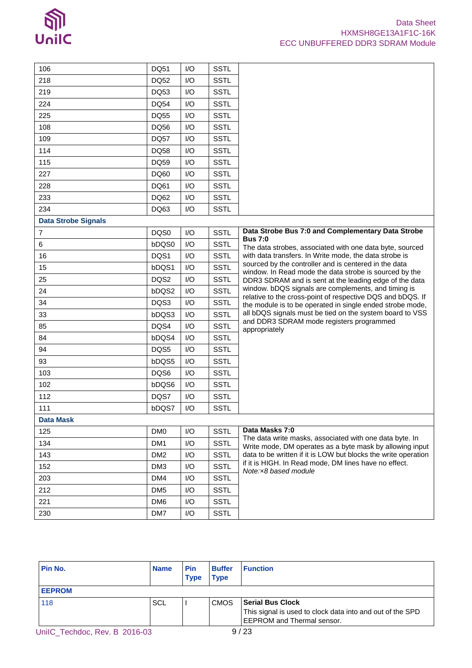| יווו |  |
|------|--|
| lnil |  |

| 106                        | <b>DQ51</b>     | I/O | <b>SSTL</b> |                                                                                                                         |
|----------------------------|-----------------|-----|-------------|-------------------------------------------------------------------------------------------------------------------------|
| 218                        | <b>DQ52</b>     | 1/O | <b>SSTL</b> |                                                                                                                         |
| 219                        | DQ53            | I/O | <b>SSTL</b> |                                                                                                                         |
| 224                        | <b>DQ54</b>     | I/O | <b>SSTL</b> |                                                                                                                         |
| 225                        | <b>DQ55</b>     | I/O | <b>SSTL</b> |                                                                                                                         |
| 108                        | DQ56            | I/O | <b>SSTL</b> |                                                                                                                         |
| 109                        | DQ57            | I/O | <b>SSTL</b> |                                                                                                                         |
| 114                        | <b>DQ58</b>     | I/O | <b>SSTL</b> |                                                                                                                         |
| 115                        | <b>DQ59</b>     | I/O | <b>SSTL</b> |                                                                                                                         |
| 227                        | DQ60            | I/O | <b>SSTL</b> |                                                                                                                         |
| 228                        | DQ61            | I/O | <b>SSTL</b> |                                                                                                                         |
| 233                        | DQ62            | I/O | <b>SSTL</b> |                                                                                                                         |
| 234                        | DQ63            | I/O | <b>SSTL</b> |                                                                                                                         |
| <b>Data Strobe Signals</b> |                 |     |             |                                                                                                                         |
| $\overline{7}$             | DQS0            | I/O | <b>SSTL</b> | Data Strobe Bus 7:0 and Complementary Data Strobe                                                                       |
| 6                          | bDQS0           | I/O | <b>SSTL</b> | <b>Bus 7:0</b><br>The data strobes, associated with one data byte, sourced                                              |
| 16                         | DQS1            | I/O | <b>SSTL</b> | with data transfers. In Write mode, the data strobe is                                                                  |
| 15                         | bDQS1           | I/O | <b>SSTL</b> | sourced by the controller and is centered in the data<br>window. In Read mode the data strobe is sourced by the         |
| 25                         | DQS2            | I/O | <b>SSTL</b> | DDR3 SDRAM and is sent at the leading edge of the data                                                                  |
| 24                         | bDQS2           | I/O | <b>SSTL</b> | window. bDQS signals are complements, and timing is                                                                     |
| 34                         | DQS3            | I/O | <b>SSTL</b> | relative to the cross-point of respective DQS and bDQS. If<br>the module is to be operated in single ended strobe mode, |
| 33                         | bDQS3           | I/O | <b>SSTL</b> | all bDQS signals must be tied on the system board to VSS                                                                |
| 85                         | DQS4            | I/O | <b>SSTL</b> | and DDR3 SDRAM mode registers programmed<br>appropriately                                                               |
| 84                         | bDQS4           | I/O | <b>SSTL</b> |                                                                                                                         |
| 94                         | DQS5            | I/O | <b>SSTL</b> |                                                                                                                         |
| 93                         | bDQS5           | I/O | <b>SSTL</b> |                                                                                                                         |
| 103                        | DQS6            | I/O | <b>SSTL</b> |                                                                                                                         |
| 102                        | bDQS6           | I/O | <b>SSTL</b> |                                                                                                                         |
| 112                        | DQS7            | I/O | <b>SSTL</b> |                                                                                                                         |
| 111                        | bDQS7           | I/O | <b>SSTL</b> |                                                                                                                         |
| <b>Data Mask</b>           |                 |     |             |                                                                                                                         |
| 125                        | DM <sub>0</sub> | I/O | <b>SSTL</b> | Data Masks 7:0                                                                                                          |
| 134                        | DM1             | I/O | <b>SSTL</b> | The data write masks, associated with one data byte. In<br>Write mode, DM operates as a byte mask by allowing input     |
| 143                        | DM <sub>2</sub> | I/O | <b>SSTL</b> | data to be written if it is LOW but blocks the write operation                                                          |
| 152                        | DM3             | I/O | <b>SSTL</b> | if it is HIGH. In Read mode, DM lines have no effect.                                                                   |
| 203                        | DM4             | I/O | <b>SSTL</b> | Note:x8 based module                                                                                                    |
| 212                        | DM <sub>5</sub> | I/O | <b>SSTL</b> |                                                                                                                         |
| 221                        | DM <sub>6</sub> | I/O | <b>SSTL</b> |                                                                                                                         |
| 230                        | DM7             | I/O | <b>SSTL</b> |                                                                                                                         |
|                            |                 |     |             |                                                                                                                         |

| Pin No.                       | <b>Name</b> | <b>Pin</b><br><b>Type</b> | <b>Buffer</b><br><b>Type</b> | <b>Function</b>                                                                                                           |
|-------------------------------|-------------|---------------------------|------------------------------|---------------------------------------------------------------------------------------------------------------------------|
| <b>EEPROM</b>                 |             |                           |                              |                                                                                                                           |
| 118                           | SCL         |                           | <b>CMOS</b>                  | <b>Serial Bus Clock</b><br>This signal is used to clock data into and out of the SPD<br><b>EEPROM</b> and Thermal sensor. |
| UnilC_Techdoc, Rev. B 2016-03 |             |                           |                              | 9/23                                                                                                                      |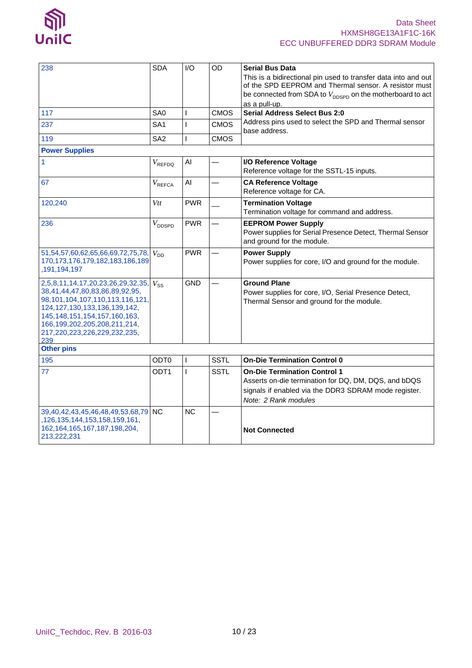

| 238                                                                                                                                                                                                                                                             | <b>SDA</b>         | 1/O          | OD          | <b>Serial Bus Data</b><br>This is a bidirectional pin used to transfer data into and out<br>of the SPD EEPROM and Thermal sensor. A resistor must<br>be connected from SDA to $V_{\text{DDSPD}}$ on the motherboard to act<br>as a pull-up. |
|-----------------------------------------------------------------------------------------------------------------------------------------------------------------------------------------------------------------------------------------------------------------|--------------------|--------------|-------------|---------------------------------------------------------------------------------------------------------------------------------------------------------------------------------------------------------------------------------------------|
| 117                                                                                                                                                                                                                                                             | SA <sub>0</sub>    | $\mathsf{I}$ | <b>CMOS</b> | <b>Serial Address Select Bus 2:0</b>                                                                                                                                                                                                        |
| 237                                                                                                                                                                                                                                                             | SA1                | $\mathbf{I}$ | <b>CMOS</b> | Address pins used to select the SPD and Thermal sensor<br>base address.                                                                                                                                                                     |
| 119                                                                                                                                                                                                                                                             | SA <sub>2</sub>    | $\mathsf{I}$ | <b>CMOS</b> |                                                                                                                                                                                                                                             |
| <b>Power Supplies</b>                                                                                                                                                                                                                                           |                    |              |             |                                                                                                                                                                                                                                             |
| 1                                                                                                                                                                                                                                                               | $V_{\text{REFDQ}}$ | AI           |             | I/O Reference Voltage<br>Reference voltage for the SSTL-15 inputs.                                                                                                                                                                          |
| 67                                                                                                                                                                                                                                                              | $V_{\sf REFCA}$    | AI           |             | <b>CA Reference Voltage</b><br>Reference voltage for CA.                                                                                                                                                                                    |
| 120,240                                                                                                                                                                                                                                                         | Vtt                | <b>PWR</b>   |             | <b>Termination Voltage</b><br>Termination voltage for command and address.                                                                                                                                                                  |
| 236                                                                                                                                                                                                                                                             | $V_{\rm DDSPD}$    | <b>PWR</b>   |             | <b>EEPROM Power Supply</b><br>Power supplies for Serial Presence Detect, Thermal Sensor<br>and ground for the module.                                                                                                                       |
| 51,54,57,60,62,65,66,69,72,75,78,<br>170, 173, 176, 179, 182, 183, 186, 189<br>,191,194,197                                                                                                                                                                     | $V_{DD}$           | <b>PWR</b>   |             | <b>Power Supply</b><br>Power supplies for core, I/O and ground for the module.                                                                                                                                                              |
| 2,5,8,11,14,17,20,23,26,29,32,35,<br>38,41,44,47,80,83,86,89,92,95,<br>98,101,104,107,110,113,116,121,<br>124, 127, 130, 133, 136, 139, 142,<br>145, 148, 151, 154, 157, 160, 163,<br>166, 199, 202, 205, 208, 211, 214,<br>217,220,223,226,229,232,235,<br>239 | $V_{SS}$           | <b>GND</b>   |             | <b>Ground Plane</b><br>Power supplies for core, I/O, Serial Presence Detect,<br>Thermal Sensor and ground for the module.                                                                                                                   |
| <b>Other pins</b>                                                                                                                                                                                                                                               |                    |              |             |                                                                                                                                                                                                                                             |
| 195                                                                                                                                                                                                                                                             | ODT <sub>0</sub>   | $\mathbf{I}$ | <b>SSTL</b> | <b>On-Die Termination Control 0</b>                                                                                                                                                                                                         |
| 77                                                                                                                                                                                                                                                              | ODT <sub>1</sub>   | $\mathbf{I}$ | <b>SSTL</b> | <b>On-Die Termination Control 1</b><br>Asserts on-die termination for DQ, DM, DQS, and bDQS<br>signals if enabled via the DDR3 SDRAM mode register.<br>Note: 2 Rank modules                                                                 |
| 39,40,42,43,45,46,48,49,53,68,79<br>,126,135,144,153,158,159,161,<br>162, 164, 165, 167, 187, 198, 204,<br>213,222,231                                                                                                                                          | <b>NC</b>          | <b>NC</b>    |             | <b>Not Connected</b>                                                                                                                                                                                                                        |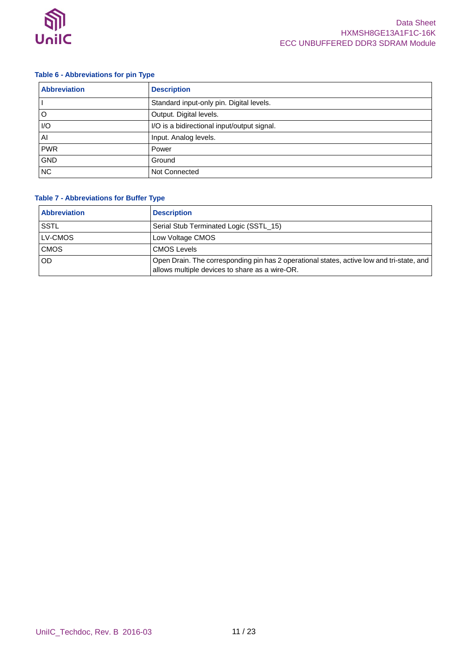

### <span id="page-10-0"></span>**Table 6 - Abbreviations for pin Type**

| <b>Abbreviation</b> | <b>Description</b>                          |
|---------------------|---------------------------------------------|
|                     | Standard input-only pin. Digital levels.    |
| ١o                  | Output. Digital levels.                     |
| I/O                 | I/O is a bidirectional input/output signal. |
| AI                  | Input. Analog levels.                       |
| <b>PWR</b>          | Power                                       |
| <b>GND</b>          | Ground                                      |
| <b>NC</b>           | Not Connected                               |

### <span id="page-10-1"></span>**Table 7 - Abbreviations for Buffer Type**

| <b>Abbreviation</b> | <b>Description</b>                                                                                                                          |
|---------------------|---------------------------------------------------------------------------------------------------------------------------------------------|
| <b>SSTL</b>         | Serial Stub Terminated Logic (SSTL_15)                                                                                                      |
| <b>ILV-CMOS</b>     | Low Voltage CMOS                                                                                                                            |
| <b>CMOS</b>         | <b>CMOS Levels</b>                                                                                                                          |
| <b>OD</b>           | Open Drain. The corresponding pin has 2 operational states, active low and tri-state, and<br>allows multiple devices to share as a wire-OR. |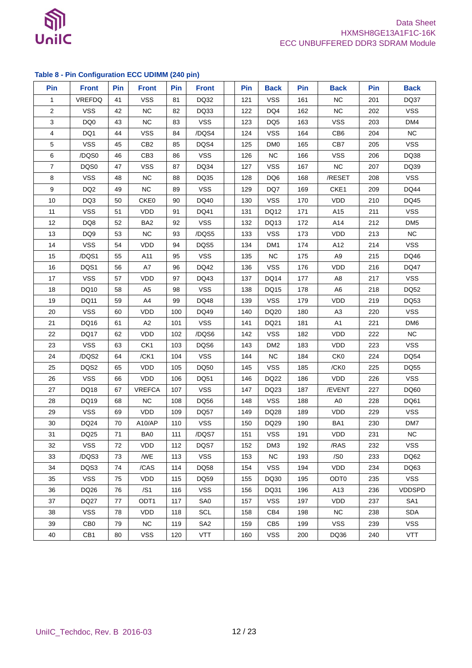

### <span id="page-11-0"></span>**Table 8 - Pin Configuration ECC UDIMM (240 pin)**

| Pin            | <b>Front</b>    | Pin | <b>Front</b>     | Pin | <b>Front</b>    | Pin | <b>Back</b>     | Pin | <b>Back</b>     | Pin | <b>Back</b>     |
|----------------|-----------------|-----|------------------|-----|-----------------|-----|-----------------|-----|-----------------|-----|-----------------|
| 1              | <b>VREFDQ</b>   | 41  | <b>VSS</b>       | 81  | DQ32            | 121 | <b>VSS</b>      | 161 | <b>NC</b>       | 201 | DQ37            |
| $\sqrt{2}$     | <b>VSS</b>      | 42  | NC               | 82  | DQ33            | 122 | DQ4             | 162 | <b>NC</b>       | 202 | <b>VSS</b>      |
| 3              | DQ0             | 43  | <b>NC</b>        | 83  | <b>VSS</b>      | 123 | DQ <sub>5</sub> | 163 | <b>VSS</b>      | 203 | DM4             |
| 4              | DQ1             | 44  | <b>VSS</b>       | 84  | /DQS4           | 124 | <b>VSS</b>      | 164 | CB6             | 204 | <b>NC</b>       |
| 5              | <b>VSS</b>      | 45  | CB <sub>2</sub>  | 85  | DQS4            | 125 | DM <sub>0</sub> | 165 | CB7             | 205 | <b>VSS</b>      |
| 6              | /DQS0           | 46  | CB <sub>3</sub>  | 86  | <b>VSS</b>      | 126 | <b>NC</b>       | 166 | <b>VSS</b>      | 206 | DQ38            |
| $\overline{7}$ | DQS0            | 47  | <b>VSS</b>       | 87  | DQ34            | 127 | <b>VSS</b>      | 167 | <b>NC</b>       | 207 | DQ39            |
| 8              | <b>VSS</b>      | 48  | <b>NC</b>        | 88  | DQ35            | 128 | DQ <sub>6</sub> | 168 | /RESET          | 208 | <b>VSS</b>      |
| 9              | DQ <sub>2</sub> | 49  | NC               | 89  | <b>VSS</b>      | 129 | DQ7             | 169 | CKE1            | 209 | <b>DQ44</b>     |
| 10             | DQ3             | 50  | CKE0             | 90  | DQ40            | 130 | <b>VSS</b>      | 170 | VDD             | 210 | DQ45            |
| 11             | <b>VSS</b>      | 51  | VDD              | 91  | DQ41            | 131 | DQ12            | 171 | A15             | 211 | <b>VSS</b>      |
| 12             | DQ8             | 52  | BA <sub>2</sub>  | 92  | <b>VSS</b>      | 132 | DQ13            | 172 | A14             | 212 | DM <sub>5</sub> |
| 13             | DQ <sub>9</sub> | 53  | <b>NC</b>        | 93  | /DQS5           | 133 | <b>VSS</b>      | 173 | VDD             | 213 | NC              |
| 14             | <b>VSS</b>      | 54  | <b>VDD</b>       | 94  | DQS5            | 134 | DM <sub>1</sub> | 174 | A12             | 214 | <b>VSS</b>      |
| 15             | /DQS1           | 55  | A11              | 95  | <b>VSS</b>      | 135 | <b>NC</b>       | 175 | A <sub>9</sub>  | 215 | DQ46            |
| 16             | DQS1            | 56  | A7               | 96  | DQ42            | 136 | <b>VSS</b>      | 176 | VDD             | 216 | <b>DQ47</b>     |
| 17             | <b>VSS</b>      | 57  | <b>VDD</b>       | 97  | DQ43            | 137 | <b>DQ14</b>     | 177 | A8              | 217 | <b>VSS</b>      |
| $18\,$         | DQ10            | 58  | A <sub>5</sub>   | 98  | <b>VSS</b>      | 138 | DQ15            | 178 | A <sub>6</sub>  | 218 | DQ52            |
| 19             | <b>DQ11</b>     | 59  | A4               | 99  | DQ48            | 139 | <b>VSS</b>      | 179 | VDD             | 219 | DQ53            |
| 20             | <b>VSS</b>      | 60  | <b>VDD</b>       | 100 | DQ49            | 140 | DQ20            | 180 | A <sub>3</sub>  | 220 | <b>VSS</b>      |
| 21             | DQ16            | 61  | A2               | 101 | <b>VSS</b>      | 141 | DQ21            | 181 | A <sub>1</sub>  | 221 | DM6             |
| 22             | DQ17            | 62  | <b>VDD</b>       | 102 | /DQS6           | 142 | <b>VSS</b>      | 182 | VDD             | 222 | <b>NC</b>       |
| 23             | <b>VSS</b>      | 63  | CK1              | 103 | DQS6            | 143 | DM <sub>2</sub> | 183 | VDD             | 223 | <b>VSS</b>      |
| 24             | /DQS2           | 64  | /CK1             | 104 | <b>VSS</b>      | 144 | <b>NC</b>       | 184 | CK <sub>0</sub> | 224 | DQ54            |
| 25             | DQS2            | 65  | VDD              | 105 | DQ50            | 145 | <b>VSS</b>      | 185 | /CK0            | 225 | <b>DQ55</b>     |
| 26             | <b>VSS</b>      | 66  | VDD              | 106 | DQ51            | 146 | <b>DQ22</b>     | 186 | VDD             | 226 | <b>VSS</b>      |
| 27             | DQ18            | 67  | <b>VREFCA</b>    | 107 | <b>VSS</b>      | 147 | DQ23            | 187 | /EVENT          | 227 | DQ60            |
| 28             | DQ19            | 68  | <b>NC</b>        | 108 | DQ56            | 148 | <b>VSS</b>      | 188 | A <sub>0</sub>  | 228 | DQ61            |
| 29             | <b>VSS</b>      | 69  | VDD              | 109 | <b>DQ57</b>     | 149 | DQ28            | 189 | <b>VDD</b>      | 229 | <b>VSS</b>      |
| 30             | DQ24            | 70  | A10/AP           | 110 | <b>VSS</b>      | 150 | DQ29            | 190 | BA1             | 230 | DM7             |
| 31             | <b>DQ25</b>     | 71  | BA0              | 111 | /DQS7           | 151 | <b>VSS</b>      | 191 | VDD             | 231 | <b>NC</b>       |
| 32             | <b>VSS</b>      | 72  | <b>VDD</b>       | 112 | DQS7            | 152 | DM3             | 192 | /RAS            | 232 | <b>VSS</b>      |
| 33             | /DQS3           | 73  | /WE              | 113 | <b>VSS</b>      | 153 | NС              | 193 | /S <sub>0</sub> | 233 | DQ62            |
| 34             | DQS3            | 74  | /CAS             | 114 | <b>DQ58</b>     | 154 | <b>VSS</b>      | 194 | <b>VDD</b>      | 234 | DQ63            |
| 35             | <b>VSS</b>      | 75  | <b>VDD</b>       | 115 | <b>DQ59</b>     | 155 | DQ30            | 195 | ODT0            | 235 | <b>VSS</b>      |
| 36             | DQ26            | 76  | /S1              | 116 | <b>VSS</b>      | 156 | DQ31            | 196 | A13             | 236 | <b>VDDSPD</b>   |
| 37             | DQ27            | 77  | ODT <sub>1</sub> | 117 | SA <sub>0</sub> | 157 | <b>VSS</b>      | 197 | <b>VDD</b>      | 237 | SA <sub>1</sub> |
| 38             | <b>VSS</b>      | 78  | <b>VDD</b>       | 118 | <b>SCL</b>      | 158 | CB4             | 198 | NC.             | 238 | <b>SDA</b>      |
| 39             | CB <sub>0</sub> | 79  | <b>NC</b>        | 119 | SA <sub>2</sub> | 159 | CB <sub>5</sub> | 199 | <b>VSS</b>      | 239 | <b>VSS</b>      |
| 40             | CB <sub>1</sub> | 80  | <b>VSS</b>       | 120 | <b>VTT</b>      | 160 | <b>VSS</b>      | 200 | DQ36            | 240 | <b>VTT</b>      |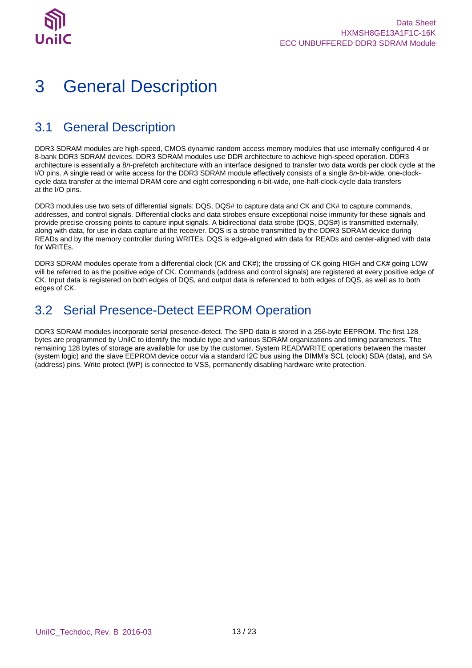

## <span id="page-12-0"></span>3 General Description

### <span id="page-12-1"></span>3.1 General Description

DDR3 SDRAM modules are high-speed, CMOS dynamic random access memory modules that use internally configured 4 or 8-bank DDR3 SDRAM devices. DDR3 SDRAM modules use DDR architecture to achieve high-speed operation. DDR3 architecture is essentially a 8*n*-prefetch architecture with an interface designed to transfer two data words per clock cycle at the I/O pins. A single read or write access for the DDR3 SDRAM module effectively consists of a single 8*n*-bit-wide, one-clockcycle data transfer at the internal DRAM core and eight corresponding *n*-bit-wide, one-half-clock-cycle data transfers at the I/O pins.

DDR3 modules use two sets of differential signals: DQS, DQS# to capture data and CK and CK# to capture commands, addresses, and control signals. Differential clocks and data strobes ensure exceptional noise immunity for these signals and provide precise crossing points to capture input signals. A bidirectional data strobe (DQS, DQS#) is transmitted externally, along with data, for use in data capture at the receiver. DQS is a strobe transmitted by the DDR3 SDRAM device during READs and by the memory controller during WRITEs. DQS is edge-aligned with data for READs and center-aligned with data for WRITEs.

DDR3 SDRAM modules operate from a differential clock (CK and CK#); the crossing of CK going HIGH and CK# going LOW will be referred to as the positive edge of CK. Commands (address and control signals) are registered at every positive edge of CK. Input data is registered on both edges of DQS, and output data is referenced to both edges of DQS, as well as to both edges of CK.

## <span id="page-12-2"></span>3.2 Serial Presence-Detect EEPROM Operation

DDR3 SDRAM modules incorporate serial presence-detect. The SPD data is stored in a 256-byte EEPROM. The first 128 bytes are programmed by UniIC to identify the module type and various SDRAM organizations and timing parameters. The remaining 128 bytes of storage are available for use by the customer. System READ/WRITE operations between the master (system logic) and the slave EEPROM device occur via a standard I2C bus using the DIMM's SCL (clock) SDA (data), and SA (address) pins. Write protect (WP) is connected to VSS, permanently disabling hardware write protection.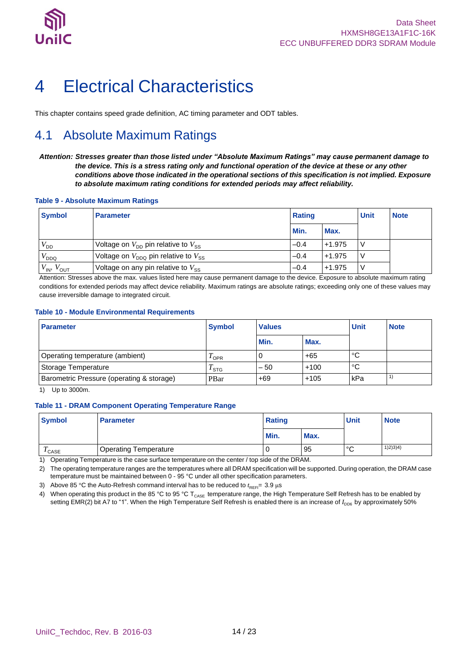

## <span id="page-13-0"></span>4 Electrical Characteristics

<span id="page-13-1"></span>This chapter contains speed grade definition, AC timing parameter and ODT tables.

## 4.1 Absolute Maximum Ratings

*Attention: Stresses greater than those listed under "Absolute Maximum Ratings" may cause permanent damage to the device. This is a stress rating only and functional operation of the device at these or any other conditions above those indicated in the operational sections of this specification is not implied. Exposure to absolute maximum rating conditions for extended periods may affect reliability.*

#### <span id="page-13-2"></span>**Table 9 - Absolute Maximum Ratings**

| <b>Symbol</b>        | <b>Parameter</b>                              | <b>Rating</b> |          | Unit | <b>Note</b> |
|----------------------|-----------------------------------------------|---------------|----------|------|-------------|
|                      |                                               | Min.          | Max.     |      |             |
| $V_{\mathsf{DD}}$    | Voltage on $V_{DD}$ pin relative to $V_{SS}$  | $-0.4$        | $+1.975$ |      |             |
| $V_{\mathsf{DDQ}}$   | Voltage on $V_{DDQ}$ pin relative to $V_{SS}$ | $-0.4$        | $+1.975$ |      |             |
| $V_{IN}$ , $V_{OUT}$ | Voltage on any pin relative to $V_{SS}$       | $-0.4$        | $+1.975$ |      |             |

Attention: Stresses above the max. values listed here may cause permanent damage to the device. Exposure to absolute maximum rating conditions for extended periods may affect device reliability. Maximum ratings are absolute ratings; exceeding only one of these values may cause irreversible damage to integrated circuit.

### <span id="page-13-3"></span>**Table 10 - Module Environmental Requirements**

| <b>Parameter</b>                          | <b>Symbol</b> | <b>Values</b> |        | <b>Unit</b>    | <b>Note</b> |
|-------------------------------------------|---------------|---------------|--------|----------------|-------------|
|                                           |               | Min.          | Max.   |                |             |
| Operating temperature (ambient)           | $1$ OPR       | U             | $+65$  | C              |             |
| Storage Temperature                       | $I$ STG       | $-50$         | $+100$ | $\mathfrak{C}$ |             |
| Barometric Pressure (operating & storage) | PBar          | $+69$         | $+105$ | kPa            |             |

1) Up to 3000m.

### <span id="page-13-4"></span>**Table 11 - DRAM Component Operating Temperature Range**

| <b>Symbol</b>    | <b>Parameter</b>             | <b>Rating</b> |      | <b>Unit</b>  | <b>Note</b> |
|------------------|------------------------------|---------------|------|--------------|-------------|
|                  |                              | Min.          | Max. |              |             |
| $^{\prime}$ CASE | <b>Operating Temperature</b> |               | -95  | $\circ$<br>ັ | 1)2)3)4)    |

1) Operating Temperature is the case surface temperature on the center / top side of the DRAM.

2) The operating temperature ranges are the temperatures where all DRAM specification will be supported. During operation, the DRAM case temperature must be maintained between 0 - 95 °C under all other specification parameters.

3) Above 85 °C the Auto-Refresh command interval has to be reduced to  $t_{REF}= 3.9 \,\mu s$ 

4) When operating this product in the 85 °C to 95 °C T<sub>CASE</sub> temperature range, the High Temperature Self Refresh has to be enabled by setting EMR(2) bit A7 to "1". When the High Temperature Self Refresh is enabled there is an increase of *I<sub>DD6</sub>* by approximately 50%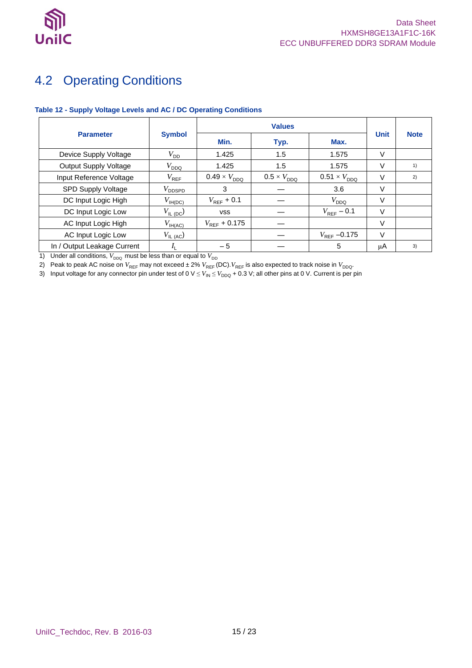

## <span id="page-14-0"></span>4.2 Operating Conditions

### <span id="page-14-1"></span>**Table 12 - Supply Voltage Levels and AC / DC Operating Conditions**

| <b>Parameter</b>             | <b>Symbol</b>        | Min.                  | Typ.                        | Max.                   | <b>Unit</b> | <b>Note</b> |
|------------------------------|----------------------|-----------------------|-----------------------------|------------------------|-------------|-------------|
| Device Supply Voltage        | $V_{\text{DD}}$      | 1.425                 | 1.5                         | 1.575                  | V           |             |
| <b>Output Supply Voltage</b> | $V_{\mathsf{DDQ}}$   | 1.425                 | 1.5                         | 1.575                  | V           | 1)          |
| Input Reference Voltage      | $V_{\mathsf{REF}}$   | $0.49 \times V_{DDQ}$ | $0.5 \times V_{\text{DDQ}}$ | $0.51 \times V_{DDQ}$  | V           | 2)          |
| SPD Supply Voltage           | $V_{\mathsf{DDSPD}}$ | 3                     |                             | 3.6                    | V           |             |
| DC Input Logic High          | $V_{\text{IH(DC)}}$  | $V_{REF}$ + 0.1       |                             | $V_{\text{DDQ}}$       | V           |             |
| DC Input Logic Low           | $V_{\text{IL (DC}}$  | <b>VSS</b>            |                             | $V_{\text{REF}}$ – 0.1 | $\vee$      |             |
| AC Input Logic High          | $V_{\text{IH(AC)}}$  | $V_{REF}$ + 0.175     |                             |                        | $\vee$      |             |
| AC Input Logic Low           | $V_{\text{IL (AC)}}$ |                       |                             | $V_{REF}$ –0.175       | $\vee$      |             |
| In / Output Leakage Current  |                      | $-5$                  |                             | 5                      | μA          | 3)          |

1) Under all conditions,  $V_{DDQ}$  must be less than or equal to  $V_{DD}$ 

2) Peak to peak AC noise on  $V_{\sf{REF}}$  may not exceed ± 2%  $V_{\sf{REF}}$  (DC). $V_{\sf{REF}}$  is also expected to track noise in  $V_{\sf{DDQ}}$ .

3) Input voltage for any connector pin under test of 0 V  $\leq$   $V_{\sf IN}\leq$   $V_{\sf DDQ}$  + 0.3 V; all other pins at 0 V. Current is per pin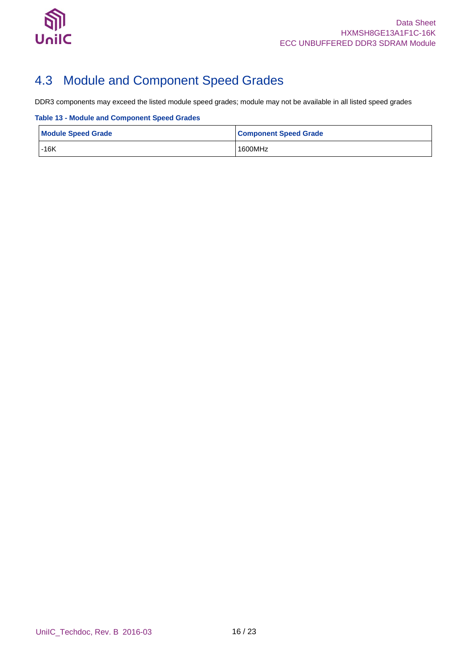

## <span id="page-15-0"></span>4.3 Module and Component Speed Grades

DDR3 components may exceed the listed module speed grades; module may not be available in all listed speed grades

### <span id="page-15-1"></span>**Table 13 - Module and Component Speed Grades**

| <b>Module Speed Grade</b> | <b>Component Speed Grade</b> |
|---------------------------|------------------------------|
| $-16K$                    | 1600MHz                      |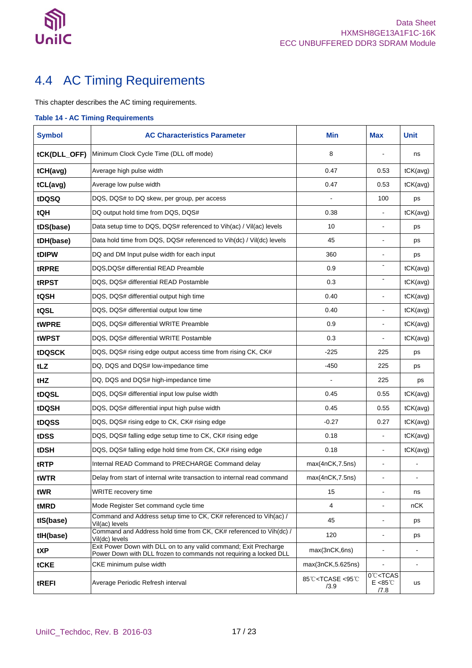

## <span id="page-16-0"></span>4.4 AC Timing Requirements

This chapter describes the AC timing requirements.

### <span id="page-16-1"></span>**Table 14 - AC Timing Requirements**

| <b>Symbol</b> | <b>AC Characteristics Parameter</b>                                                                                                   | <b>Min</b>                         | <b>Max</b>                                                     | <b>Unit</b>    |
|---------------|---------------------------------------------------------------------------------------------------------------------------------------|------------------------------------|----------------------------------------------------------------|----------------|
| tCK(DLL_OFF)  | Minimum Clock Cycle Time (DLL off mode)                                                                                               | 8                                  |                                                                | ns             |
| tCH(avg)      | Average high pulse width                                                                                                              | 0.47                               | 0.53                                                           | tCK(avg)       |
| tCL(avg)      | Average low pulse width                                                                                                               | 0.47                               | 0.53                                                           | tCK(avg)       |
| tDQSQ         | DQS, DQS# to DQ skew, per group, per access                                                                                           |                                    | 100                                                            | ps             |
| tQH           | DQ output hold time from DQS, DQS#                                                                                                    | 0.38                               |                                                                | tCK(avg)       |
| tDS(base)     | Data setup time to DQS, DQS# referenced to Vih(ac) / Vil(ac) levels                                                                   | 10                                 |                                                                | ps             |
| tDH(base)     | Data hold time from DQS, DQS# referenced to Vih(dc) / Vil(dc) levels                                                                  | 45                                 |                                                                | ps             |
| tDIPW         | DQ and DM Input pulse width for each input                                                                                            | 360                                | $\blacksquare$                                                 | ps             |
| tRPRE         | DQS,DQS# differential READ Preamble                                                                                                   | 0.9                                | $\blacksquare$                                                 | tCK(avg)       |
| tRPST         | DQS, DQS# differential READ Postamble                                                                                                 | 0.3                                | $\blacksquare$                                                 | tCK(avg)       |
| tQSH          | DQS, DQS# differential output high time                                                                                               | 0.40                               | $\blacksquare$                                                 | tCK(avg)       |
| tQSL          | DQS, DQS# differential output low time                                                                                                | 0.40                               | ÷,                                                             | tCK(avg)       |
| tWPRE         | DQS, DQS# differential WRITE Preamble                                                                                                 | 0.9                                | $\blacksquare$                                                 | tCK(avg)       |
| tWPST         | DQS, DQS# differential WRITE Postamble                                                                                                | 0.3                                | $\overline{a}$                                                 | tCK(avg)       |
| tDQSCK        | DQS, DQS# rising edge output access time from rising CK, CK#                                                                          | $-225$                             | 225                                                            | ps             |
| tLZ           | DQ, DQS and DQS# low-impedance time                                                                                                   | $-450$                             | 225                                                            | ps             |
| tHZ           | DQ, DQS and DQS# high-impedance time                                                                                                  |                                    | 225                                                            | ps             |
| tDQSL         | DQS, DQS# differential input low pulse width                                                                                          | 0.45                               | 0.55                                                           | tCK(avg)       |
| tDQSH         | DQS, DQS# differential input high pulse width                                                                                         | 0.45                               | 0.55                                                           | tCK(avg)       |
| tDQSS         | DQS, DQS# rising edge to CK, CK# rising edge                                                                                          | $-0.27$                            | 0.27                                                           | tCK(avg)       |
| tDSS          | DQS, DQS# falling edge setup time to CK, CK# rising edge                                                                              | 0.18                               |                                                                | tCK(avg)       |
| tDSH          | DQS, DQS# falling edge hold time from CK, CK# rising edge                                                                             | 0.18                               | ÷,                                                             | tCK(avg)       |
| tRTP          | Internal READ Command to PRECHARGE Command delay                                                                                      | max(4nCK, 7.5ns)                   | ÷                                                              |                |
| tWTR          | Delay from start of internal write transaction to internal read command                                                               | max(4nCK, 7.5ns)                   | $\overline{\phantom{a}}$                                       |                |
| tWR           | WRITE recovery time                                                                                                                   | 15                                 | ä,                                                             | ns             |
| tMRD          | Mode Register Set command cycle time                                                                                                  | $\overline{4}$                     |                                                                | nCK            |
| tIS(base)     | Command and Address setup time to CK, CK# referenced to Vih(ac) /<br>Vil(ac) levels                                                   | 45                                 |                                                                | ps             |
| tlH(base)     | Command and Address hold time from CK, CK# referenced to Vih(dc) /<br>Vil(dc) levels                                                  | 120                                | $\overline{\phantom{0}}$                                       | ps             |
| tXP           | Exit Power Down with DLL on to any valid command; Exit Precharge<br>Power Down with DLL frozen to commands not requiring a locked DLL | max(3nCK,6ns)                      |                                                                |                |
| tCKE          | CKE minimum pulse width                                                                                                               | max(3nCK,5.625ns)                  |                                                                | $\blacksquare$ |
| tREFI         | Average Periodic Refresh interval                                                                                                     | 85℃ <tcase <95℃<br="">/3.9</tcase> | 0°C <tcas<br><math>E &lt; 85^{\circ}</math><br/>/7.8</tcas<br> | us             |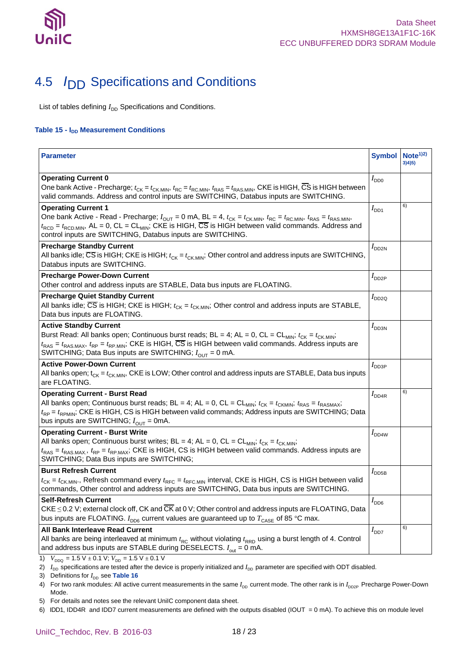

## <span id="page-17-0"></span>4.5 *I*DD Specifications and Conditions

List of tables defining  $I_{\text{DD}}$  Specifications and Conditions.

### <span id="page-17-1"></span>**Table 15 - I<sub>DD</sub> Measurement Conditions**

| <b>Parameter</b>                                                                                                                                                                                                                                                                                                                                                                                                            | <b>Symbol</b>       | Note <sup>1/2</sup><br>3)4(5) |
|-----------------------------------------------------------------------------------------------------------------------------------------------------------------------------------------------------------------------------------------------------------------------------------------------------------------------------------------------------------------------------------------------------------------------------|---------------------|-------------------------------|
| <b>Operating Current 0</b><br>One bank Active - Precharge; $t_{\sf CK}$ = $t_{\sf CKMMN}$ , $t_{\sf RC}$ = $t_{\sf RCMMN}$ , $t_{\sf RAS}$ = $t_{\sf RASMMN}$ , CKE is HIGH, $\overline{\sf CS}$ is HIGH between<br>valid commands. Address and control inputs are SWITCHING, Databus inputs are SWITCHING.                                                                                                                 | $I_{\mathsf{DD}0}$  |                               |
| <b>Operating Current 1</b><br>One bank Active - Read - Precharge; $I_{\text{OUT}} = 0$ mA, BL = 4, $t_{\text{CK}} = t_{\text{CK,MIN}}$ , $t_{\text{RC}} = t_{\text{RC,MIN}}$ , $t_{\text{RAS}} = t_{\text{RAS,MIN}}$<br>$t_{\text{RCD}} = t_{\text{RCD,MIN}}$ , AL = 0, CL = CL <sub>MIN</sub> ; CKE is HIGH, CS is HIGH between valid commands. Address and<br>control inputs are SWITCHING, Databus inputs are SWITCHING. | $I_{DD1}$           | 6)                            |
| <b>Precharge Standby Current</b><br>All banks idle; $\overline{\text{CS}}$ is HIGH; CKE is HIGH; $t_{\text{CK-MIN}}$ ; Other control and address inputs are SWITCHING,<br>Databus inputs are SWITCHING.                                                                                                                                                                                                                     | $I_{DD2N}$          |                               |
| <b>Precharge Power-Down Current</b><br>Other control and address inputs are STABLE, Data bus inputs are FLOATING.                                                                                                                                                                                                                                                                                                           | $I_{\text{DD2P}}$   |                               |
| <b>Precharge Quiet Standby Current</b><br>All banks idle; $\overline{\text{CS}}$ is HIGH; CKE is HIGH; $t_{\text{CK}}$ = $t_{\text{CKMMi}}$ ; Other control and address inputs are STABLE,<br>Data bus inputs are FLOATING.                                                                                                                                                                                                 | $I_{DD2Q}$          |                               |
| <b>Active Standby Current</b><br>Burst Read: All banks open; Continuous burst reads; BL = 4; AL = 0, CL = CL <sub>MIN</sub> ; $t_{CK} = t_{CK,MIN}$ ;<br>$t_{\sf RAS}$ = $t_{\sf RAS, MAX}$ , $t_{\sf RP}$ = $t_{\sf RPMIN}$ ; CKE is HIGH, $\overline{\text{CS}}$ is HIGH between valid commands. Address inputs are<br>SWITCHING; Data Bus inputs are SWITCHING; $I_{OUT} = 0$ mA.                                        | $I_{\mathsf{DD3N}}$ |                               |
| <b>Active Power-Down Current</b><br>All banks open; $t_{CK} = t_{CK,MIN}$ , CKE is LOW; Other control and address inputs are STABLE, Data bus inputs<br>are FLOATING.                                                                                                                                                                                                                                                       | $I_{\text{DD3P}}$   |                               |
| <b>Operating Current - Burst Read</b><br>All banks open; Continuous burst reads; BL = 4; AL = 0, CL = CL <sub>MIN</sub> ; $t_{CK} = t_{CKMIN}$ ; $t_{RAS} = t_{RASMAX}$ ;<br>t <sub>RP</sub> = t <sub>RPMIN</sub> ; CKE is HIGH, CS is HIGH between valid commands; Address inputs are SWITCHING; Data<br>bus inputs are SWITCHING; $I_{\text{OUT}} = 0$ mA.                                                                | $I_{\text{DD4R}}$   | 6)                            |
| <b>Operating Current - Burst Write</b><br>All banks open; Continuous burst writes; BL = 4; AL = 0, CL = CL <sub>MIN</sub> ; $t_{CK} = t_{CK, MIN}$ ;<br>$t_{\text{RAS}} = t_{\text{RAS} \text{MAX}}$ , $t_{\text{RP}} = t_{\text{RP} \text{MAX}}$ ; CKE is HIGH, CS is HIGH between valid commands. Address inputs are<br>SWITCHING; Data Bus inputs are SWITCHING;                                                         | $I_{DD4W}$          |                               |
| <b>Burst Refresh Current</b><br>$t_{\text{CK}} = t_{\text{CKMMN}}$ ., Refresh command every $t_{\text{RFC}} = t_{\text{RFC,MIN}}$ interval, CKE is HIGH, CS is HIGH between valid<br>commands, Other control and address inputs are SWITCHING, Data bus inputs are SWITCHING.                                                                                                                                               | $I_{\text{DDB}}$    |                               |
| <b>Self-Refresh Current</b><br>CKE $\leq$ 0.2 V; external clock off, CK and CK at 0 V; Other control and address inputs are FLOATING, Data<br>bus inputs are FLOATING. $I_{DD6}$ current values are guaranteed up to $T_{\text{CASE}}$ of 85 °C max.                                                                                                                                                                        | $I_{\text{DD6}}$    |                               |
| All Bank Interleave Read Current<br>All banks are being interleaved at minimum $t_{\text{RC}}$ without violating $t_{\text{RRD}}$ using a burst length of 4. Control<br>and address bus inputs are STABLE during DESELECTS. $I_{out} = 0$ mA.                                                                                                                                                                               | $I_{DD7}$           | 6)                            |

1)  $V_{DDQ} = 1.5 \text{ V } \pm 0.1 \text{ V}; V_{DD} = 1.5 \text{ V } \pm 0.1 \text{ V}$ 

2) *I*<sub>DD</sub> specifications are tested after the device is properly initialized and *I*<sub>DD</sub> parameter are specified with ODT disabled.

3) Definitions for  $I_{DD}$  see [Table 16](#page-18-0)

4) For two rank modules: All active current measurements in the same  $I_{DD}$  current mode. The other rank is in  $I_{DD2P}$  Precharge Power-Down Mode.

5) For details and notes see the relevant UniIC component data sheet.

6) IDD1, IDD4R and IDD7 current measurements are defined with the outputs disabled (IOUT = 0 mA). To achieve this on module level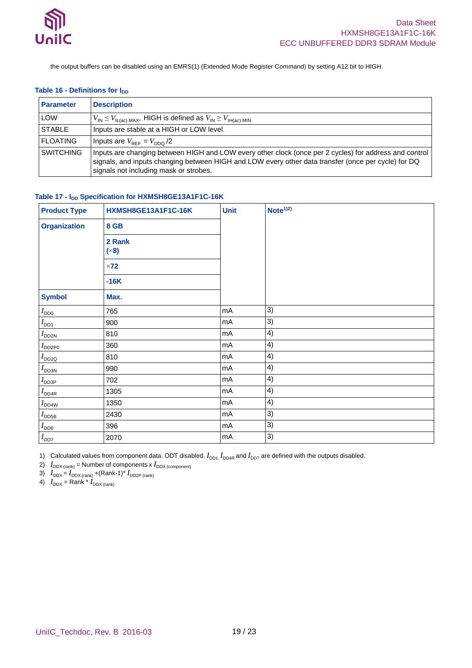

the output buffers can be disabled using an EMRS(1) (Extended Mode Register Command) by setting A12 bit to HIGH.

### <span id="page-18-0"></span>**Table 16 - Definitions for I<sub>DD</sub>**

| <b>Parameter</b> | <b>Description</b>                                                                                                                                                                                                                                      |
|------------------|---------------------------------------------------------------------------------------------------------------------------------------------------------------------------------------------------------------------------------------------------------|
| <b>LOW</b>       | $V_{\text{IN}} \leq V_{\text{IL(ac).MAX}}$ , HIGH is defined as $V_{\text{IN}} \geq V_{\text{IH(ac).MIN}}$                                                                                                                                              |
| <b>STABLE</b>    | Inputs are stable at a HIGH or LOW level.                                                                                                                                                                                                               |
| <b>FLOATING</b>  | Inputs are $V_{\text{RFF}} = V_{\text{DDO}}/2$                                                                                                                                                                                                          |
| <b>SWITCHING</b> | Inputs are changing between HIGH and LOW every other clock (once per 2 cycles) for address and control<br>signals, and inputs changing between HIGH and LOW every other data transfer (once per cycle) for DQ<br>signals not including mask or strobes. |

### <span id="page-18-1"></span>**Table 17 - IDD Specification for HXMSH8GE13A1F1C-16K**

| <b>Product Type</b> | HXMSH8GE13A1F1C-16K    | <b>Unit</b> | Note <sup>1/2</sup> |
|---------------------|------------------------|-------------|---------------------|
| <b>Organization</b> | <b>8 GB</b>            |             |                     |
|                     | 2 Rank<br>$(\times 8)$ |             |                     |
|                     | $\times 72$            |             |                     |
|                     | $-16K$                 |             |                     |
| <b>Symbol</b>       | Max.                   |             |                     |
| $I_{\mathsf{DD}0}$  | 765                    | mA          | 3)                  |
| $I_{DD1}$           | 900                    | mA          | 3)                  |
| $I_{DD2N}$          | 810                    | mA          | 4)                  |
| $I_{DD2P0}$         | 360                    | mA          | 4)                  |
| $I_{DD2Q}$          | 810                    | mA          | 4)                  |
| $I_{DD3N}$          | 990                    | mA          | 4)                  |
| $I_{\text{DD3P}}$   | 702                    | mA          | 4)                  |
| $I_{\text{DD4R}}$   | 1305                   | mA          | 4)                  |
| $I_{DD4W}$          | 1350                   | mA          | 4)                  |
| $I_{\mathsf{DDB}}$  | 2430                   | mA          | 3)                  |
| $I_{\text{DD6}}$    | 396                    | mA          | 3)                  |
| $I_{DD7}$           | 2070                   | mA          | 3)                  |

1) Calculated values from component data. ODT disabled.  $I_{DD1}$ ,  $I_{DD4R}$  and  $I_{DD7}$  are defined with the outputs disabled.

2)  $I_{\text{DDX (rank)}}$  = Number of components x  $I_{\text{DDX (component)}}$ 

3)  $I_{\text{DDX}} = I_{\text{DDX (rank)}} + (\text{Rank-1})^* I_{\text{DD2P (rank)}}$ 

4)  $I_{\text{DDX}} = \text{Rank} \cdot I_{\text{DDX (rank)}}$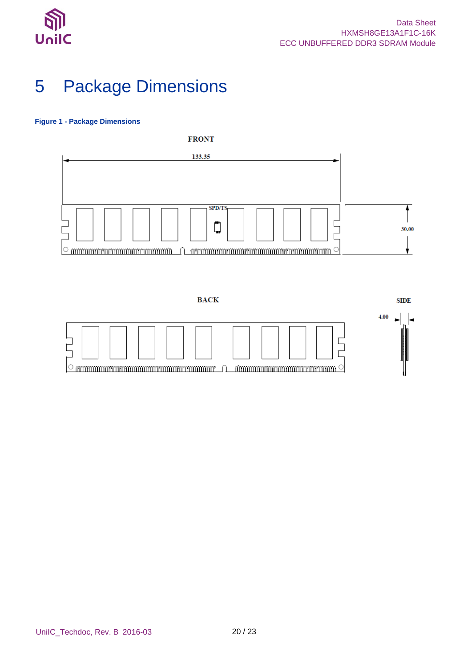

 $\circ$ 

## <span id="page-19-0"></span>5 Package Dimensions

### <span id="page-19-1"></span>**Figure 1 - Package Dimensions**



 $\underbrace{\hspace{1cm}\textcolor{black}{\alpha\textcolor{black}{\textcolor{black}{\alpha\textcolor{black}{\textcolor{black}{\alpha\textcolor{black}{\textcolor{black}{\alpha\textcolor{black}{\alpha\textcolor{black}{\alpha\textcolor{black}{\alpha\textcolor{black}{\alpha\textcolor{black}{\alpha\textcolor{black}{\alpha\textcolor{black}{\alpha\textcolor{black}{\alpha\textcolor{black}{\alpha\textcolor{black}{\alpha\textcolor{black}{\alpha\textcolor{black}{\alpha\textcolor{black}{\alpha\textcolor{black}{\alpha\textcolor{black}{\alpha\textcolor{black}{\alpha\textcolor{black}{\alpha\textcolor{black}{\alpha\textcolor{black}{\alpha\textcolor{black}{\alpha\$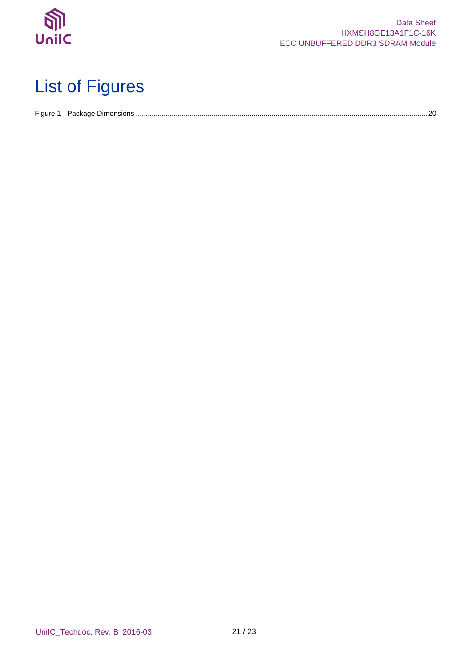

# <span id="page-20-0"></span>List of Figures

|--|--|--|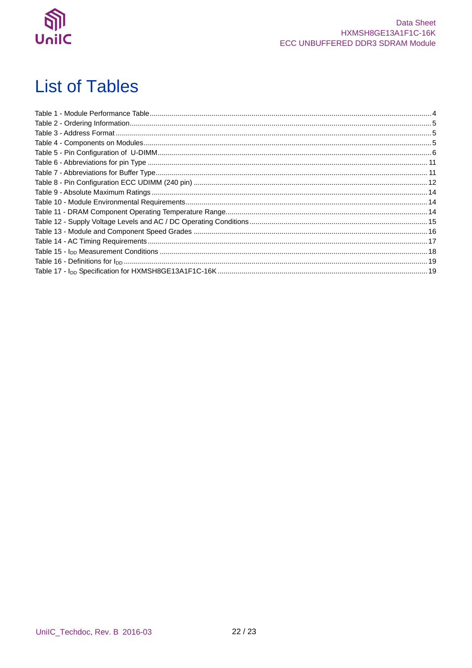

# <span id="page-21-0"></span>**List of Tables**